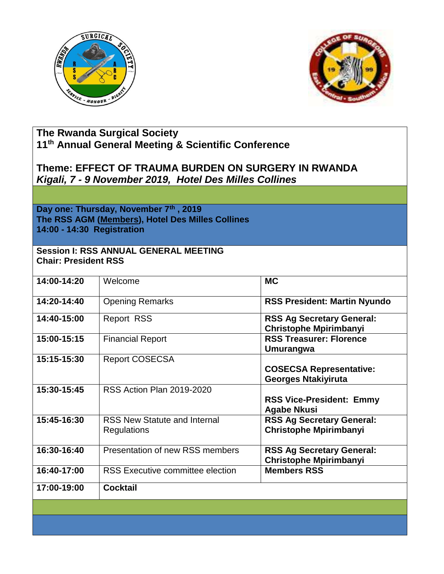



# **The Rwanda Surgical Society 11th Annual General Meeting & Scientific Conference**

## **Theme: EFFECT OF TRAUMA BURDEN ON SURGERY IN RWANDA** *Kigali, 7 - 9 November 2019, Hotel Des Milles Collines*

**Day one: Thursday, November 7th , 2019 The RSS AGM (Members), Hotel Des Milles Collines 14:00 - 14:30 Registration**

#### **Session I: RSS ANNUAL GENERAL MEETING Chair: President RSS**

| 14:00-14:20   | Welcome                                            | <b>MC</b>                                                         |
|---------------|----------------------------------------------------|-------------------------------------------------------------------|
| $14:20-14:40$ | <b>Opening Remarks</b>                             | <b>RSS President: Martin Nyundo</b>                               |
| 14:40-15:00   | <b>Report RSS</b>                                  | <b>RSS Ag Secretary General:</b><br><b>Christophe Mpirimbanyi</b> |
| 15:00-15:15   | <b>Financial Report</b>                            | <b>RSS Treasurer: Florence</b><br><b>Umurangwa</b>                |
| 15:15-15:30   | <b>Report COSECSA</b>                              | <b>COSECSA Representative:</b><br><b>Georges Ntakiyiruta</b>      |
| 15:30-15:45   | RSS Action Plan 2019-2020                          | <b>RSS Vice-President: Emmy</b><br><b>Agabe Nkusi</b>             |
| 15:45-16:30   | <b>RSS New Statute and Internal</b><br>Regulations | <b>RSS Ag Secretary General:</b><br><b>Christophe Mpirimbanyi</b> |
| 16:30-16:40   | Presentation of new RSS members                    | <b>RSS Ag Secretary General:</b><br><b>Christophe Mpirimbanyi</b> |
| 16:40-17:00   | <b>RSS Executive committee election</b>            | <b>Members RSS</b>                                                |
| 17:00-19:00   | <b>Cocktail</b>                                    |                                                                   |
|               |                                                    |                                                                   |
|               |                                                    |                                                                   |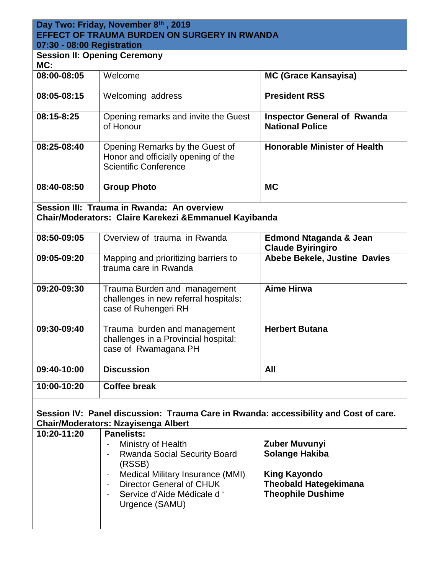## **Day Two: Friday, November 8th , 2019 EFFECT OF TRAUMA BURDEN ON SURGERY IN RWANDA 07:30 - 08:00 Registration**

| MC:         | <b>Session II: Opening Ceremony</b>                                                                    |                                                              |
|-------------|--------------------------------------------------------------------------------------------------------|--------------------------------------------------------------|
| 08:00-08:05 | Welcome                                                                                                | <b>MC (Grace Kansayisa)</b>                                  |
| 08:05-08:15 | Welcoming address                                                                                      | <b>President RSS</b>                                         |
| 08:15-8:25  | Opening remarks and invite the Guest<br>of Honour                                                      | <b>Inspector General of Rwanda</b><br><b>National Police</b> |
| 08:25-08:40 | Opening Remarks by the Guest of<br>Honor and officially opening of the<br><b>Scientific Conference</b> | <b>Honorable Minister of Health</b>                          |
| 08:40-08:50 | <b>Group Photo</b>                                                                                     | <b>MC</b>                                                    |

**Session III: Trauma in Rwanda: An overview Chair/Moderators: Claire Karekezi &Emmanuel Kayibanda**

| 08:50-09:05 | Overview of trauma in Rwanda                                                                  | <b>Edmond Ntaganda &amp; Jean</b><br><b>Claude Byiringiro</b> |
|-------------|-----------------------------------------------------------------------------------------------|---------------------------------------------------------------|
| 09:05-09:20 | Mapping and prioritizing barriers to<br>trauma care in Rwanda                                 | Abebe Bekele, Justine Davies                                  |
| 09:20-09:30 | Trauma Burden and management<br>challenges in new referral hospitals:<br>case of Ruhengeri RH | <b>Aime Hirwa</b>                                             |
| 09:30-09:40 | Trauma burden and management<br>challenges in a Provincial hospital:<br>case of Rwamagana PH  | <b>Herbert Butana</b>                                         |
| 09:40-10:00 | <b>Discussion</b>                                                                             | All                                                           |
| 10:00-10:20 | <b>Coffee break</b>                                                                           |                                                               |

## **Session IV: Panel discussion: Trauma Care in Rwanda: accessibility and Cost of care. Chair/Moderators: Nzayisenga Albert**

| 10:20-11:20 | <b>Panelists:</b>                                                                                            |                                                                                 |
|-------------|--------------------------------------------------------------------------------------------------------------|---------------------------------------------------------------------------------|
|             | Ministry of Health<br><b>Rwanda Social Security Board</b><br>(RSSB)                                          | Zuber Muvunyi<br><b>Solange Hakiba</b>                                          |
|             | Medical Military Insurance (MMI)<br>Director General of CHUK<br>Service d'Aide Médicale d'<br>Urgence (SAMU) | <b>King Kayondo</b><br><b>Theobald Hategekimana</b><br><b>Theophile Dushime</b> |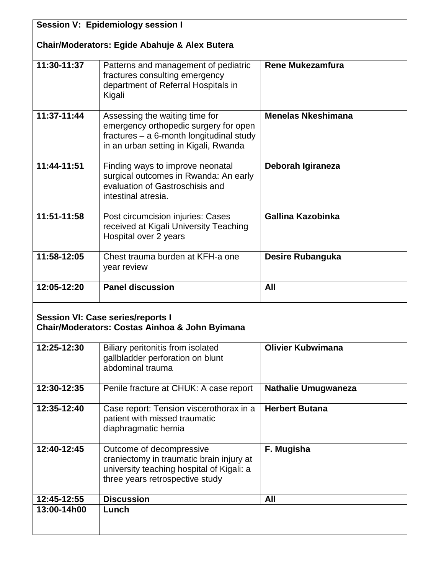| <b>Session V: Epidemiology session I</b>                                                              |                                                                                                                                                              |                            |
|-------------------------------------------------------------------------------------------------------|--------------------------------------------------------------------------------------------------------------------------------------------------------------|----------------------------|
| <b>Chair/Moderators: Egide Abahuje &amp; Alex Butera</b>                                              |                                                                                                                                                              |                            |
| 11:30-11:37                                                                                           | Patterns and management of pediatric<br>fractures consulting emergency<br>department of Referral Hospitals in<br>Kigali                                      | <b>Rene Mukezamfura</b>    |
| 11:37-11:44                                                                                           | Assessing the waiting time for<br>emergency orthopedic surgery for open<br>fractures - a 6-month longitudinal study<br>in an urban setting in Kigali, Rwanda | <b>Menelas Nkeshimana</b>  |
| 11:44-11:51                                                                                           | Finding ways to improve neonatal<br>surgical outcomes in Rwanda: An early<br>evaluation of Gastroschisis and<br>intestinal atresia.                          | Deborah Igiraneza          |
| 11:51-11:58                                                                                           | Post circumcision injuries: Cases<br>received at Kigali University Teaching<br>Hospital over 2 years                                                         | Gallina Kazobinka          |
| 11:58-12:05                                                                                           | Chest trauma burden at KFH-a one<br>year review                                                                                                              | <b>Desire Rubanguka</b>    |
| 12:05-12:20                                                                                           | <b>Panel discussion</b>                                                                                                                                      | All                        |
| <b>Session VI: Case series/reports I</b><br><b>Chair/Moderators: Costas Ainhoa &amp; John Byimana</b> |                                                                                                                                                              |                            |
| 12:25-12:30                                                                                           | Biliary peritonitis from isolated<br>gallbladder perforation on blunt<br>abdominal trauma                                                                    | <b>Olivier Kubwimana</b>   |
| 12:30-12:35                                                                                           | Penile fracture at CHUK: A case report                                                                                                                       | <b>Nathalie Umugwaneza</b> |
| 12:35-12:40                                                                                           | Case report: Tension viscerothorax in a<br>patient with missed traumatic<br>diaphragmatic hernia                                                             | <b>Herbert Butana</b>      |
| 12:40-12:45                                                                                           | Outcome of decompressive<br>craniectomy in traumatic brain injury at<br>university teaching hospital of Kigali: a<br>three years retrospective study         | F. Mugisha                 |
| 12:45-12:55                                                                                           | <b>Discussion</b>                                                                                                                                            | All                        |
| 13:00-14h00                                                                                           | Lunch                                                                                                                                                        |                            |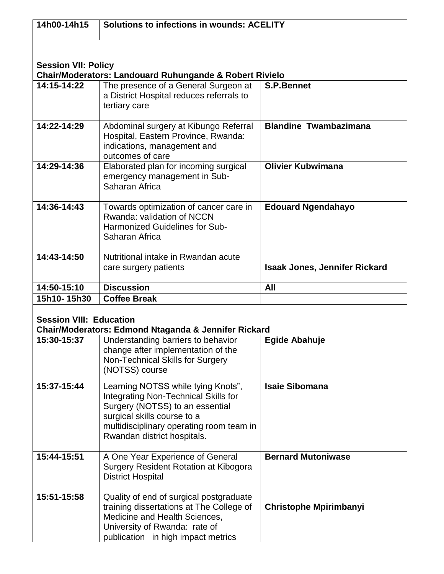| 14h00-14h15                                                                                                                                                         | <b>Solutions to infections in wounds: ACELITY</b>                                                                                                                                                                              |                                      |
|---------------------------------------------------------------------------------------------------------------------------------------------------------------------|--------------------------------------------------------------------------------------------------------------------------------------------------------------------------------------------------------------------------------|--------------------------------------|
| <b>Session VII: Policy</b>                                                                                                                                          |                                                                                                                                                                                                                                |                                      |
| 14:15-14:22                                                                                                                                                         | <b>Chair/Moderators: Landouard Ruhungande &amp; Robert Rivielo</b><br>The presence of a General Surgeon at<br>a District Hospital reduces referrals to<br>tertiary care                                                        | <b>S.P.Bennet</b>                    |
| 14:22-14:29                                                                                                                                                         | Abdominal surgery at Kibungo Referral<br>Hospital, Eastern Province, Rwanda:<br>indications, management and<br>outcomes of care                                                                                                | <b>Blandine Twambazimana</b>         |
| $14:29 - 14:36$                                                                                                                                                     | Elaborated plan for incoming surgical<br>emergency management in Sub-<br>Saharan Africa                                                                                                                                        | <b>Olivier Kubwimana</b>             |
| 14:36-14:43                                                                                                                                                         | Towards optimization of cancer care in<br>Rwanda: validation of NCCN<br><b>Harmonized Guidelines for Sub-</b><br>Saharan Africa                                                                                                | <b>Edouard Ngendahayo</b>            |
| 14:43-14:50                                                                                                                                                         | Nutritional intake in Rwandan acute<br>care surgery patients                                                                                                                                                                   | <b>Isaak Jones, Jennifer Rickard</b> |
| 14:50-15:10                                                                                                                                                         | <b>Discussion</b>                                                                                                                                                                                                              | All                                  |
| 15h10-15h30                                                                                                                                                         | <b>Coffee Break</b>                                                                                                                                                                                                            |                                      |
| <b>Session VIII: Education</b><br>Chair/Moderators: Edmond Ntaganda & Jennifer Rickard<br>15:30-15:37<br>Understanding barriers to behavior<br><b>Egide Abahuje</b> |                                                                                                                                                                                                                                |                                      |
|                                                                                                                                                                     | change after implementation of the<br>Non-Technical Skills for Surgery<br>(NOTSS) course                                                                                                                                       |                                      |
| 15:37-15:44                                                                                                                                                         | Learning NOTSS while tying Knots",<br><b>Integrating Non-Technical Skills for</b><br>Surgery (NOTSS) to an essential<br>surgical skills course to a<br>multidisciplinary operating room team in<br>Rwandan district hospitals. | <b>Isaie Sibomana</b>                |
| 15:44-15:51                                                                                                                                                         | A One Year Experience of General<br><b>Surgery Resident Rotation at Kibogora</b><br><b>District Hospital</b>                                                                                                                   | <b>Bernard Mutoniwase</b>            |
| 15:51-15:58                                                                                                                                                         | Quality of end of surgical postgraduate<br>training dissertations at The College of<br>Medicine and Health Sciences,<br>University of Rwanda: rate of<br>publication in high impact metrics                                    | <b>Christophe Mpirimbanyi</b>        |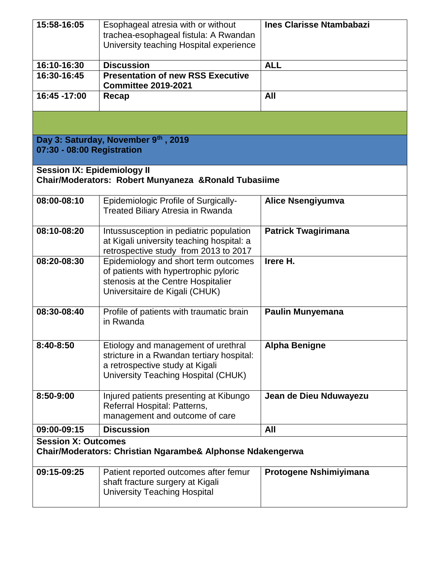| 15:58-16:05                                                                                 | Esophageal atresia with or without<br>trachea-esophageal fistula: A Rwandan<br>University teaching Hospital experience                                     | <b>Ines Clarisse Ntambabazi</b> |
|---------------------------------------------------------------------------------------------|------------------------------------------------------------------------------------------------------------------------------------------------------------|---------------------------------|
| 16:10-16:30                                                                                 | <b>Discussion</b>                                                                                                                                          | <b>ALL</b>                      |
| 16:30-16:45                                                                                 | <b>Presentation of new RSS Executive</b><br><b>Committee 2019-2021</b>                                                                                     |                                 |
| 16:45 -17:00                                                                                | Recap                                                                                                                                                      | All                             |
|                                                                                             |                                                                                                                                                            |                                 |
| 07:30 - 08:00 Registration                                                                  | Day 3: Saturday, November 9th, 2019                                                                                                                        |                                 |
| <b>Session IX: Epidemiology II</b><br>Chair/Moderators: Robert Munyaneza & Ronald Tubasiime |                                                                                                                                                            |                                 |
| 08:00-08:10                                                                                 | <b>Epidemiologic Profile of Surgically-</b><br><b>Treated Biliary Atresia in Rwanda</b>                                                                    | <b>Alice Nsengiyumva</b>        |
| 08:10-08:20                                                                                 | Intussusception in pediatric population<br>at Kigali university teaching hospital: a<br>retrospective study from 2013 to 2017                              | <b>Patrick Twagirimana</b>      |
| 08:20-08:30                                                                                 | Epidemiology and short term outcomes<br>of patients with hypertrophic pyloric<br>stenosis at the Centre Hospitalier<br>Universitaire de Kigali (CHUK)      | Irere H.                        |
| 08:30-08:40                                                                                 | Profile of patients with traumatic brain<br>in Rwanda                                                                                                      | <b>Paulin Munyemana</b>         |
| 8:40-8:50                                                                                   | Etiology and management of urethral<br>stricture in a Rwandan tertiary hospital:<br>a retrospective study at Kigali<br>University Teaching Hospital (CHUK) | Alpha Benigne                   |
| 8:50-9:00                                                                                   | Injured patients presenting at Kibungo<br>Referral Hospital: Patterns,<br>management and outcome of care                                                   | Jean de Dieu Nduwayezu          |
| 09:00-09:15                                                                                 | <b>Discussion</b>                                                                                                                                          | All                             |
| <b>Session X: Outcomes</b><br>Chair/Moderators: Christian Ngarambe& Alphonse Ndakengerwa    |                                                                                                                                                            |                                 |
| 09:15-09:25                                                                                 | Patient reported outcomes after femur<br>shaft fracture surgery at Kigali<br><b>University Teaching Hospital</b>                                           | Protogene Nshimiyimana          |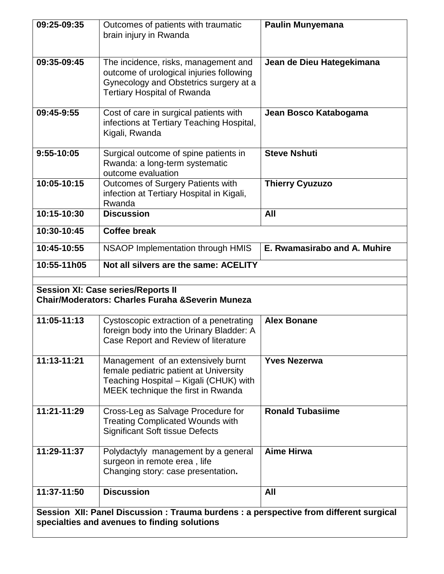| 09:25-09:35                                                                                               | Outcomes of patients with traumatic<br>brain injury in Rwanda                                                                                                    | <b>Paulin Munyemana</b>      |
|-----------------------------------------------------------------------------------------------------------|------------------------------------------------------------------------------------------------------------------------------------------------------------------|------------------------------|
| 09:35-09:45                                                                                               | The incidence, risks, management and<br>outcome of urological injuries following<br>Gynecology and Obstetrics surgery at a<br><b>Tertiary Hospital of Rwanda</b> | Jean de Dieu Hategekimana    |
| 09:45-9:55                                                                                                | Cost of care in surgical patients with<br>infections at Tertiary Teaching Hospital,<br>Kigali, Rwanda                                                            | Jean Bosco Katabogama        |
| 9:55-10:05                                                                                                | Surgical outcome of spine patients in<br>Rwanda: a long-term systematic<br>outcome evaluation                                                                    | <b>Steve Nshuti</b>          |
| 10:05-10:15                                                                                               | Outcomes of Surgery Patients with<br>infection at Tertiary Hospital in Kigali,<br>Rwanda                                                                         | <b>Thierry Cyuzuzo</b>       |
| 10:15-10:30                                                                                               | <b>Discussion</b>                                                                                                                                                | All                          |
| 10:30-10:45                                                                                               | <b>Coffee break</b>                                                                                                                                              |                              |
| 10:45-10:55                                                                                               | <b>NSAOP Implementation through HMIS</b>                                                                                                                         | E. Rwamasirabo and A. Muhire |
| 10:55-11h05                                                                                               | Not all silvers are the same: ACELITY                                                                                                                            |                              |
| <b>Session XI: Case series/Reports II</b><br><b>Chair/Moderators: Charles Furaha &amp; Severin Muneza</b> |                                                                                                                                                                  |                              |
| 11:05-11:13                                                                                               | Cystoscopic extraction of a penetrating<br>foreign body into the Urinary Bladder: A<br>Case Report and Review of literature                                      | <b>Alex Bonane</b>           |
| $11:13 - 11:21$                                                                                           | Management of an extensively burnt<br>female pediatric patient at University<br>Teaching Hospital - Kigali (CHUK) with<br>MEEK technique the first in Rwanda     | <b>Yves Nezerwa</b>          |
| $11:21 - 11:29$                                                                                           | Cross-Leg as Salvage Procedure for<br><b>Treating Complicated Wounds with</b><br><b>Significant Soft tissue Defects</b>                                          | <b>Ronald Tubasiime</b>      |
| 11:29-11:37                                                                                               | Polydactyly management by a general<br>surgeon in remote erea, life<br>Changing story: case presentation.                                                        | <b>Aime Hirwa</b>            |
| 11:37-11:50                                                                                               | <b>Discussion</b>                                                                                                                                                | All                          |
| Session XII: Panel Discussion : Trauma burdens : a perspective from different surgical                    |                                                                                                                                                                  |                              |
| specialties and avenues to finding solutions                                                              |                                                                                                                                                                  |                              |